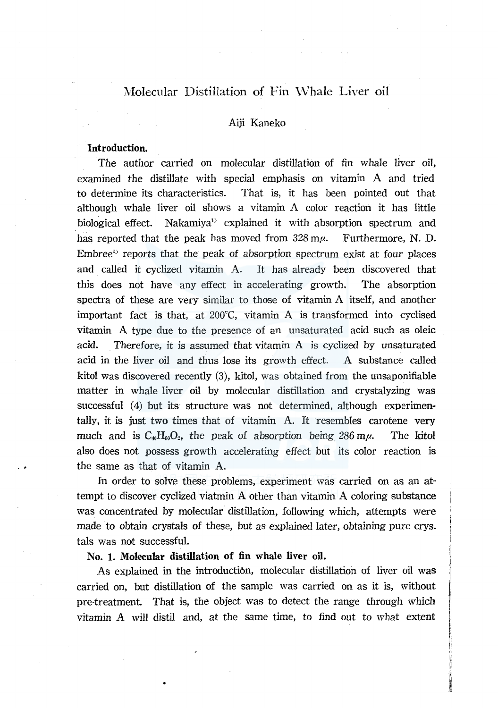# Molecular Distillation of Fin Whale Liver oil

## Aiji Kaneko

# Introduction.

The author carried on molecular distillation of fin whale liver oil, examined the distillate with special emphasis on vitamin A and tried to determine its characteristics. That is, it has been pointed out that although whale liver oil shows a vitamin A color reaction it has little biological effect. Nakamiya<sup>1)</sup> explained it with absorption spectrum and has reported that the peak has moved from  $328 \text{ m}\mu$ . Furthermore, N. D. Embree<sup> $2$ </sup> reports that the peak of absorption spectrum exist at four places and called it cyclized vitamin A. It has already been discovered that this does not have any effect in accelerating growth. The absorption spectra of these are very similar to those of vitamin A itself, and another important fact is that, at  $200^{\circ}$ C, vitamin A is transformed into cyclised vitamin A type due to the presence of an unsaturated acid such as oleic acid. Therefore, it is assumed that vitamin A is cyclized by unsaturated acid in the liver oil and thus lose its growth effect. A substance called kitol was discovered recently (3), kitol, was obtained from the unsaponifiable matter in whale liver oil by molecular distillation and crystalyzing was successful (4) but its structure was not determined, although experimentally, it is just two times that of vitamin A. It resembles carotene very much and is  $C_{40}H_{60}O_2$ , the peak of absorption being 286 m $\mu$ . The kitol also does not possess growth accelerating effect but its color reaction is the same as that of vitamin A.

In order to solve these problems, experiment was carried on as an attempt to discover cyclized viatmin A other than vitamin A coloring substance was concentrated by molecular distillation, following which, attempts were made to obtain crystals of these, but as explained later, obtaining pure crys. tals was not successful.

#### No. 1. Molecular distillation of fin whale liver oil.

As explained in the introduction, molecular distillation of liver oil was carried on, but distillation of the sample was carried on as it is, without pre-treatment. That is, the object was to detect the range through which vitamin A will distil and, at the same time, to find out to what extent

**INTERNATIONAL CONTRACTOR**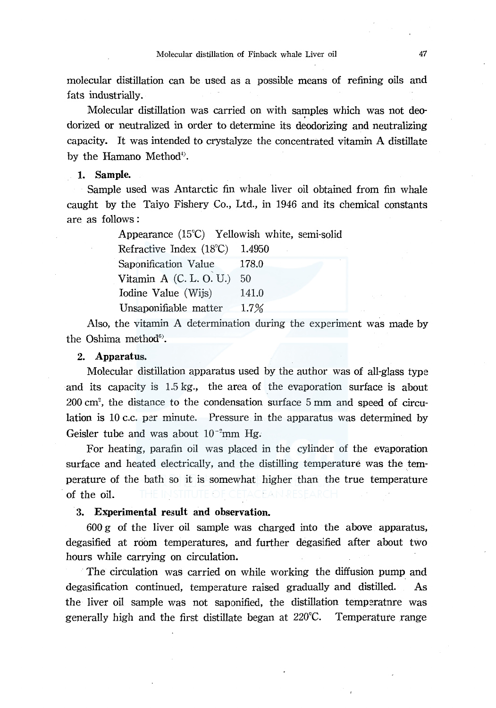molecular distillation can be used as a possible means of refining oils and fats industrially.

Molecular distillation was carried on with samples which was not deodorized or neutralized in order to determine its deodorizing and neutralizing capacity. It was intended to crystalyze the concentrated vitamin A distillate by the Hamano Method<sup>4)</sup>.

#### **1. Sample.**

Sample used was Antarctic fin whale liver oil obtained from fin whale caught by the Taiyo Fishery Co., Ltd., in 1946 and its chemical constants are as follows :

> Appearance (15°C) Yellowish white, semi-solid Refractive Index (18°C) 1.4950 Saponification Value 178.0 Vitamin A (C. L. O. U.) 50 Iodine Value (Wijs) 141.0 Unsaponifiable matter 1.7%

Also, the vitamin A determination during the experiment was made by the Oshima method<sup>6</sup>).

#### **2. Apparatus.**

Molecular distillation apparatus used by the author was of all-glass type and its capacity is 1.5 kg., the area of the evaporation surface is about  $200 \text{ cm}^2$ , the distance to the condensation surface 5 mm and speed of circulation is 10 c.c. per minute. Pressure in the apparatus was determined by Geisler tube and was about  $10^{-2}$ mm Hg.

For heating, parafin oil was placed in the cylinder of the evaporation surface and heated electrically, and the distilling temperature was the temperature of the bath so it is somewhat higher than the true temperature of the oil.

### 3. **Experimental result and observation.**

600 g of the liver oil sample was charged into the above apparatus, degasified at room temperatures, and further degasified after about two hours while carrying on circulation.

The circulation was carried on while working the diffusion pump and degasification continued, temperature raised gradually and distilled. As the liver oil sample was not saponified, the distillation temperature was generally high and the first distillate began at  $220^{\circ}C$ . Temperature range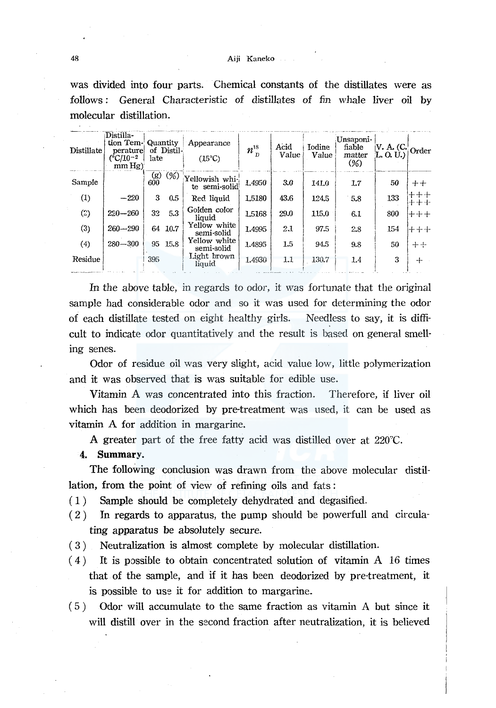#### Aiji Kaneko

was divided into four parts. Chemical constants of the distillates were as General Characteristic of distillates of fin whale liver oil by follows : molecular distillation.

| Distillate       | Distilla-<br>tion Tem- Quantity<br>perature<br>$(^{\circ}C/10^{-2}$<br>mm Hg | of Distil-<br>Iate |                 | Appearance<br>$(15^{\circ}C)$   | $n_{\rm\,D}^{\rm\scriptscriptstyle 18}$ | Acid<br>Value | Iodine<br>Value | Unsaponi-<br>fiable<br>matter<br>$(\%)$ | IV. A. (C. Order<br>L, O, U |         |
|------------------|------------------------------------------------------------------------------|--------------------|-----------------|---------------------------------|-----------------------------------------|---------------|-----------------|-----------------------------------------|-----------------------------|---------|
| Sample           |                                                                              | (g)<br>600         | $(\frac{9}{6})$ | Yellowish whi-<br>te semi-solid | 1.4950                                  | 3.0           | 141.0           | 1.7                                     | 50                          | $+ +$   |
| $\left(1\right)$ | $-220$                                                                       | 3                  | 0.5             | Red liquid                      | 1.5180                                  | 43.6          | 124.5           | 5.8                                     | 133                         | ╄╶╋╌╉╸  |
| ⊙)               | $220 - 260$                                                                  | 32                 | 5.3             | Golden color<br>liquid          | 1.5168                                  | 29.0          | 115.0           | 6.1                                     | 800                         | $+++$   |
| (3)              | $260 - 290$                                                                  |                    | 64 10.7         | Yellow white<br>semi-solid      | 1.4995                                  | 2.1           | 97.5            | 2.8                                     | 154                         | $++++-$ |
| (4)              | $280 - 300$                                                                  |                    | 95 15.8         | Yellow white<br>semi-solid      | 1.4895                                  | $1.5\,$       | 94.5            | 9.8                                     | 50                          | $+ +$   |
| Residue          |                                                                              | 395                |                 | Light brown<br>liquid           | 1.4930                                  | 1.1           | 130.7           | 1.4                                     | 3                           | ┿       |

In the above table, in regards to odor, it was fortunate that the original sample had considerable odor and so it was used for determining the odor of each distillate tested on eight healthy girls. Needless to say, it is difficult to indicate odor quantitatively and the result is based on general smelling senes.

Odor of residue oil was very slight, acid value low, little polymerization and it was observed that is was suitable for edible use.

Vitamin A was concentrated into this fraction. Therefore, if liver oil which has been deodorized by pre-treatment was used, it can be used as vitamin A for addition in margarine.

A greater part of the free fatty acid was distilled over at 220°C.

## 4. Summary.

The following conclusion was drawn from the above molecular distillation, from the point of view of refining oils and fats:

- Sample should be completely dehydrated and degasified.  $(1)$
- $(2)$ In regards to apparatus, the pump should be powerfull and circulating apparatus be absolutely secure.
- Neutralization is almost complete by molecular distillation.  $(3)$
- $(4)$ It is possible to obtain concentrated solution of vitamin A 16 times that of the sample, and if it has been deodorized by pre-treatment, it is possible to use it for addition to margarine.
- $(5)$ Odor will accumulate to the same fraction as vitamin A but since it will distill over in the second fraction after neutralization, it is believed

48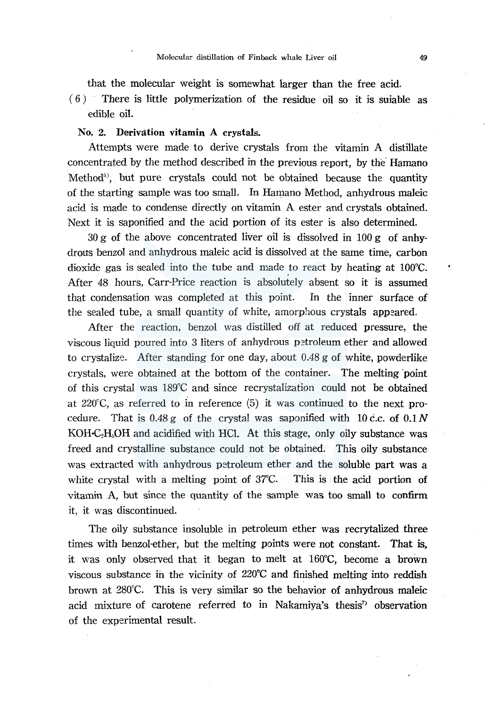that the molecular weight is somewhat larger than the free acid.

 $(6)$  There is little polymerization of the residue oil so it is suiable as edible oil.

# No. 2. Derivation vitamin A crystals.

Attempts were made to derive crystals from the vitamin A distillate concentrated by the method described in the previous report, by the· Hamano Method<sup>5</sup>, but pure crystals could not be obtained because the quantity of the starting sample was too small. In Hamano Method, anhydrous maleic acid is made to condense directly on vitamin A ester and crystals obtained. Next it is saponified and the acid portion of its ester is also determined.

 $30 \text{ g}$  of the above concentrated liver oil is dissolved in  $100 \text{ g}$  of anhydrous benzol and anhydrous maleic acid is dissolved at the same time, carbon dioxide gas is sealed into the tube and made to react by heating at l00°C. After 48 hours, Carr-Price reaction is absolutely absent so it is assumed that condensation was completed at this point. In the inner surface of the sealed tube, a small quantity of white, amorphous crystals appeared.

After the reaction, benzol was distilled off at reduced pressure, the viscous liquid poured into 3 liters of anhydrous petroleum ether and allowed to crystalize. After standing for one day, about 0.48 g of white, powderlike crystals, were obtained at the bottom of the container. The melting "point of this crystal was 189°C and since recrystalization could not be obtained at  $220^{\circ}$ C, as referred to in reference (5) it was continued to the next procedure. That is  $0.48 g$  of the crystal was saponified with 10 c.c. of  $0.1 N$  $KOH-C<sub>2</sub>H<sub>8</sub>OH$  and acidified with HCl. At this stage, only oily substance was freed and crystalline substance could not be obtained. This oily substance was extracted with anhydrous petroleum ether and the soluble part was a white crystal with a melting point of 37°C. This is the acid portion of vitamin A, but since the quantity of the sample was too small to confirm it, it was discontinued.

The oily substance insoluble in petroleum ether was recrytalized three times with benzol-ether, but the melting points were not constant. That is, it was only observed that it began to melt at l60°C, become a brown viscous substance in the vicinity of  $220^{\circ}$ C and finished melting into reddish brown at 280°C. This is very similar so the behavior of anhydrous maleic acid mixture of carotene referred to in Nakamiya's thesis<sup>7</sup> observation of the experimental result.